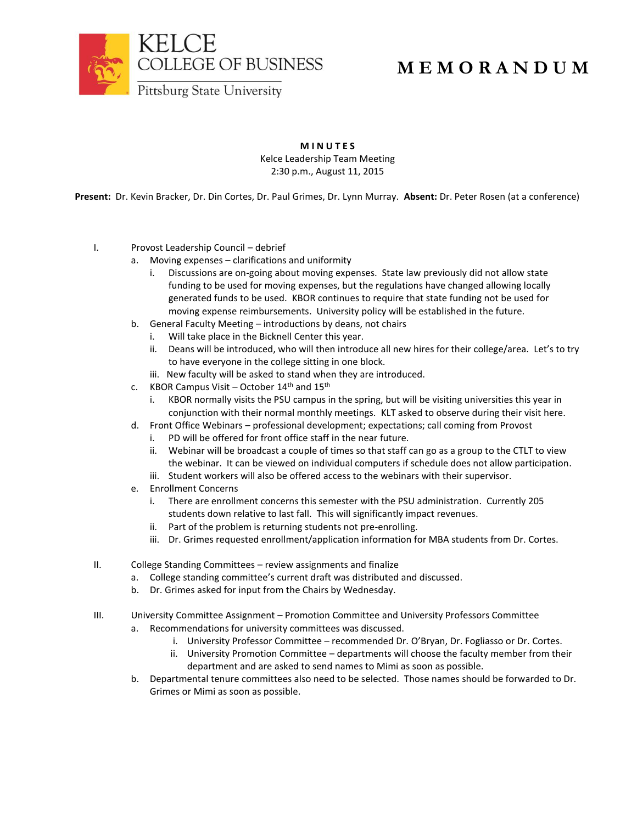

## **M E M O R A N D U M**

**M I N U T E S** Kelce Leadership Team Meeting 2:30 p.m., August 11, 2015

**Present:** Dr. Kevin Bracker, Dr. Din Cortes, Dr. Paul Grimes, Dr. Lynn Murray. **Absent:** Dr. Peter Rosen (at a conference)

- I. Provost Leadership Council debrief
	- a. Moving expenses clarifications and uniformity
		- i. Discussions are on-going about moving expenses. State law previously did not allow state funding to be used for moving expenses, but the regulations have changed allowing locally generated funds to be used. KBOR continues to require that state funding not be used for moving expense reimbursements. University policy will be established in the future.
	- b. General Faculty Meeting introductions by deans, not chairs
		- i. Will take place in the Bicknell Center this year.
			- ii. Deans will be introduced, who will then introduce all new hires for their college/area. Let's to try to have everyone in the college sitting in one block.
			- iii. New faculty will be asked to stand when they are introduced.
	- c. KBOR Campus Visit October  $14<sup>th</sup>$  and  $15<sup>th</sup>$ 
		- i. KBOR normally visits the PSU campus in the spring, but will be visiting universities this year in conjunction with their normal monthly meetings. KLT asked to observe during their visit here.
	- d. Front Office Webinars professional development; expectations; call coming from Provost
		- i. PD will be offered for front office staff in the near future.
		- ii. Webinar will be broadcast a couple of times so that staff can go as a group to the CTLT to view the webinar. It can be viewed on individual computers if schedule does not allow participation.
		- iii. Student workers will also be offered access to the webinars with their supervisor.
	- e. Enrollment Concerns
		- i. There are enrollment concerns this semester with the PSU administration. Currently 205 students down relative to last fall. This will significantly impact revenues.
		- ii. Part of the problem is returning students not pre-enrolling.
		- iii. Dr. Grimes requested enrollment/application information for MBA students from Dr. Cortes.
- II. College Standing Committees review assignments and finalize
	- a. College standing committee's current draft was distributed and discussed.
	- b. Dr. Grimes asked for input from the Chairs by Wednesday.
- III. University Committee Assignment Promotion Committee and University Professors Committee
	- a. Recommendations for university committees was discussed.
		- i. University Professor Committee recommended Dr. O'Bryan, Dr. Fogliasso or Dr. Cortes.
		- ii. University Promotion Committee departments will choose the faculty member from their department and are asked to send names to Mimi as soon as possible.
	- b. Departmental tenure committees also need to be selected. Those names should be forwarded to Dr. Grimes or Mimi as soon as possible.